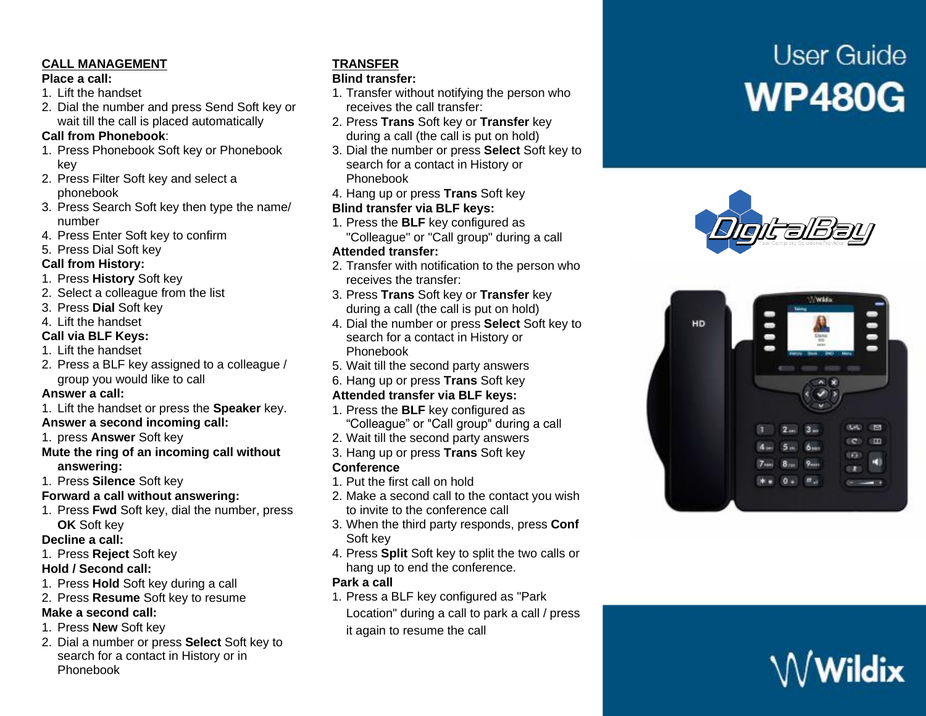#### **CALL MANAGEMENT**

#### **Place a call:**

- 1. Lift the handset
- 2. Dial the number and press Send Soft key or wait till the call is placed automatically

#### **Call from Phonebook**:

- 1. Press Phonebook Soft key or Phonebook key
- 2. Press Filter Soft key and select a phonebook
- 3. Press Search Soft key then type the name/ number
- 4. Press Enter Soft key to confirm

# 5. Press Dial Soft key

#### **Call from History:**

- 1. Press **History** Soft key
- 2. Select a colleague from the list
- 3. Press **Dial** Soft key
- 4. Lift the handset

## **Call via BLF Keys:**

- 1. Lift the handset
- 2. Press a BLF key assigned to a colleague / group you would like to call

#### **Answer a call:**

- 1. Lift the handset or press the **Speaker** key. **Answer a second incoming call:**
- 1. press **Answer** Soft key
- **Mute the ring of an incoming call without answering:**
- 1. Press **Silence** Soft key

# **Forward a call without answering:**

1. Press **Fwd** Soft key, dial the number, press **OK** Soft key

#### **Decline a call:**

1. Press **Reject** Soft key

# **Hold / Second call:**

- 1. Press **Hold** Soft key during a call
- 2. Press **Resume** Soft key to resume

# **Make a second call:**

- 1. Press **New** Soft key
- 2. Dial a number or press **Select** Soft key to search for a contact in History or in Phonebook

# **TRANSFER**

#### **Blind transfer:**

- 1. Transfer without notifying the person who receives the call transfer:
- 2. Press **Trans** Soft key or **Transfer** key during a call (the call is put on hold)
- 3. Dial the number or press **Select** Soft key to search for a contact in History or Phonebook
- 4. Hang up or press **Trans** Soft key

## **Blind transfer via BLF keys:**

1. Press the **BLF** key configured as "Colleague" or "Call group" during a call

## **Attended transfer:**

- 2. Transfer with notification to the person who receives the transfer:
- 3. Press **Trans** Soft key or **Transfer** key during a call (the call is put on hold)
- 4. Dial the number or press **Select** Soft key to search for a contact in History or Phonebook
- 5. Wait till the second party answers
- 6. Hang up or press **Trans** Soft key

# **Attended transfer via BLF keys:**

- 1. Press the **BLF** key configured as "Colleague" or "Call group" during a call
- 2. Wait till the second party answers
- 3. Hang up or press **Trans** Soft key

# **Conference**

- 1. Put the first call on hold
- 2. Make a second call to the contact you wish to invite to the conference call
- 3. When the third party responds, press **Conf** Soft key
- 4. Press **Split** Soft key to split the two calls or hang up to end the conference.

#### **Park a call**

- 1. Press a BLF key configured as "Park
- Location" during a call to park a call / press it again to resume the call

# **User Guide WP480G**





# $\mathsf{\mathsf{W}}$ Wildix